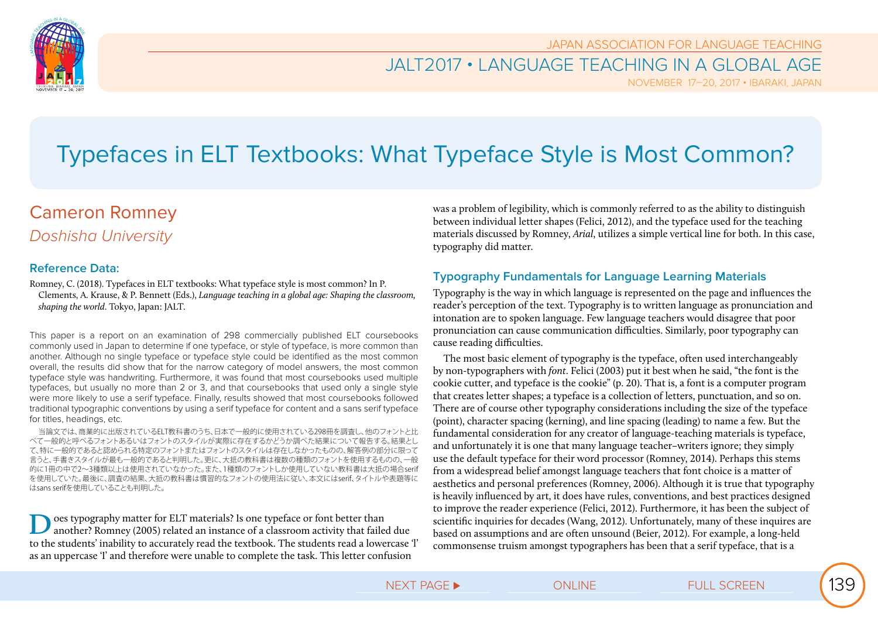

### JALT2017 • LANGUAGE TEACHING IN A GLOBAL AGE

NOVEMBER 17–20, 2017 • IBARAKI, JAPAN

# Typefaces in ELT Textbooks: What Typeface Style is Most Common?

## Cameron Romney *Doshisha University*

#### **Reference Data:**

Romney, C. (2018). Typefaces in ELT textbooks: What typeface style is most common? In P. Clements, A. Krause, & P. Bennett (Eds.), *Language teaching in a global age: Shaping the classroom, shaping the world*. Tokyo, Japan: JALT.

This paper is a report on an examination of 298 commercially published ELT coursebooks commonly used in Japan to determine if one typeface, or style of typeface, is more common than another. Although no single typeface or typeface style could be identified as the most common overall, the results did show that for the narrow category of model answers, the most common typeface style was handwriting. Furthermore, it was found that most coursebooks used multiple typefaces, but usually no more than 2 or 3, and that coursebooks that used only a single style were more likely to use a serif typeface. Finally, results showed that most coursebooks followed traditional typographic conventions by using a serif typeface for content and a sans serif typeface for titles, headings, etc.

当論文では、商業的に出版されているELT教科書のうち、日本で一般的に使用されている298冊を調査し、他のフォントと比 べて一般的と呼べるフォントあるいはフォントのスタイルが実際に存在するかどうか調べた結果について報告する。結果とし て、特に一般的であると認められる特定のフォントまたはフォントのスタイルは存在しなかったものの、解答例の部分に限って 言うと、手書きスタイルが最も一般的であると判明した。更に、大抵の教科書は複数の種類のフォントを使用するものの、一般 的に1冊の中で2~3種類以上は使用されていなかった。また、1種類のフォントしか使用していない教科書は大抵の場合serif を使用していた。最後に、調査の結果、大抵の教科書は慣習的なフォントの使用法に従い、本文にはserif、タイトルや表題等に はsans serifを使用していることも判明した。

**D**oes typography matter for ELT materials? Is one typeface or font better than another? Romney (2005) related an instance of a classroom activity that failed due to the students' inability to accurately read the textbook. The students read a lowercase 'l' as an uppercase 'I' and therefore were unable to complete the task. This letter confusion

was a problem of legibility, which is commonly referred to as the ability to distinguish between individual letter shapes (Felici, 2012), and the typeface used for the teaching materials discussed by Romney, *Arial*, utilizes a simple vertical line for both. In this case, typography did matter.

### **Typography Fundamentals for Language Learning Materials**

Typography is the way in which language is represented on the page and influences the reader's perception of the text. Typography is to written language as pronunciation and intonation are to spoken language. Few language teachers would disagree that poor pronunciation can cause communication difficulties. Similarly, poor typography can cause reading difficulties.

The most basic element of typography is the typeface, often used interchangeably by non-typographers with *font*. Felici (2003) put it best when he said, "the font is the cookie cutter, and typeface is the cookie" (p. 20). That is, a font is a computer program that creates letter shapes; a typeface is a collection of letters, punctuation, and so on. There are of course other typography considerations including the size of the typeface (point), character spacing (kerning), and line spacing (leading) to name a few. But the fundamental consideration for any creator of language-teaching materials is typeface, and unfortunately it is one that many language teacher–writers ignore; they simply use the default typeface for their word processor (Romney, 2014). Perhaps this stems from a widespread belief amongst language teachers that font choice is a matter of aesthetics and personal preferences (Romney, 2006). Although it is true that typography is heavily influenced by art, it does have rules, conventions, and best practices designed to improve the reader experience (Felici, 2012). Furthermore, it has been the subject of scientific inquiries for decades (Wang, 2012). Unfortunately, many of these inquires are based on assumptions and are often unsound (Beier, 2012). For example, a long-held commonsense truism amongst typographers has been that a serif typeface, that is a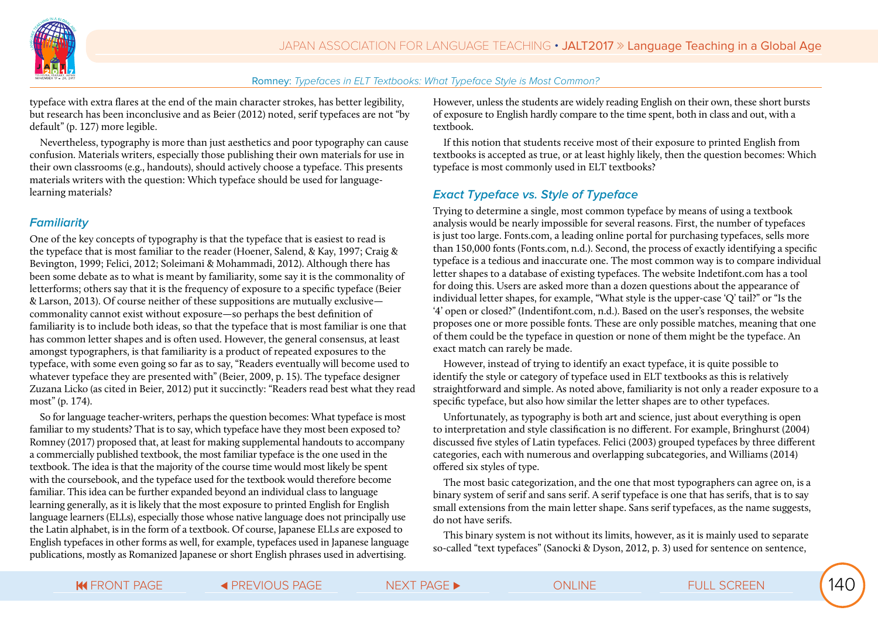

typeface with extra flares at the end of the main character strokes, has better legibility, but research has been inconclusive and as Beier (2012) noted, serif typefaces are not "by default" (p. 127) more legible.

Nevertheless, typography is more than just aesthetics and poor typography can cause confusion. Materials writers, especially those publishing their own materials for use in their own classrooms (e.g., handouts), should actively choose a typeface. This presents materials writers with the question: Which typeface should be used for languagelearning materials?

#### **Familiarity**

One of the key concepts of typography is that the typeface that is easiest to read is the typeface that is most familiar to the reader (Hoener, Salend, & Kay, 1997; Craig & Bevington, 1999; Felici, 2012; Soleimani & Mohammadi, 2012). Although there has been some debate as to what is meant by familiarity, some say it is the commonality of letterforms; others say that it is the frequency of exposure to a specific typeface (Beier & Larson, 2013). Of course neither of these suppositions are mutually exclusive commonality cannot exist without exposure—so perhaps the best definition of familiarity is to include both ideas, so that the typeface that is most familiar is one that has common letter shapes and is often used. However, the general consensus, at least amongst typographers, is that familiarity is a product of repeated exposures to the typeface, with some even going so far as to say, "Readers eventually will become used to whatever typeface they are presented with" (Beier, 2009, p. 15). The typeface designer Zuzana Licko (as cited in Beier, 2012) put it succinctly: "Readers read best what they read most" (p. 174).

So for language teacher-writers, perhaps the question becomes: What typeface is most familiar to my students? That is to say, which typeface have they most been exposed to? Romney (2017) proposed that, at least for making supplemental handouts to accompany a commercially published textbook, the most familiar typeface is the one used in the textbook. The idea is that the majority of the course time would most likely be spent with the coursebook, and the typeface used for the textbook would therefore become familiar. This idea can be further expanded beyond an individual class to language learning generally, as it is likely that the most exposure to printed English for English language learners (ELLs), especially those whose native language does not principally use the Latin alphabet, is in the form of a textbook. Of course, Japanese ELLs are exposed to English typefaces in other forms as well, for example, typefaces used in Japanese language publications, mostly as Romanized Japanese or short English phrases used in advertising.

However, unless the students are widely reading English on their own, these short bursts of exposure to English hardly compare to the time spent, both in class and out, with a textbook.

If this notion that students receive most of their exposure to printed English from textbooks is accepted as true, or at least highly likely, then the question becomes: Which typeface is most commonly used in ELT textbooks?

#### **Exact Typeface vs. Style of Typeface**

Trying to determine a single, most common typeface by means of using a textbook analysis would be nearly impossible for several reasons. First, the number of typefaces is just too large. Fonts.com, a leading online portal for purchasing typefaces, sells more than 150,000 fonts (Fonts.com, n.d.). Second, the process of exactly identifying a specific typeface is a tedious and inaccurate one. The most common way is to compare individual letter shapes to a database of existing typefaces. The website Indetifont.com has a tool for doing this. Users are asked more than a dozen questions about the appearance of individual letter shapes, for example, "What style is the upper-case 'Q' tail?" or "Is the '4' open or closed?" (Indentifont.com, n.d.). Based on the user's responses, the website proposes one or more possible fonts. These are only possible matches, meaning that one of them could be the typeface in question or none of them might be the typeface. An exact match can rarely be made.

However, instead of trying to identify an exact typeface, it is quite possible to identify the style or category of typeface used in ELT textbooks as this is relatively straightforward and simple. As noted above, familiarity is not only a reader exposure to a specific typeface, but also how similar the letter shapes are to other typefaces.

Unfortunately, as typography is both art and science, just about everything is open to interpretation and style classification is no different. For example, Bringhurst (2004) discussed five styles of Latin typefaces. Felici (2003) grouped typefaces by three different categories, each with numerous and overlapping subcategories, and Williams (2014) offered six styles of type.

The most basic categorization, and the one that most typographers can agree on, is a binary system of serif and sans serif. A serif typeface is one that has serifs, that is to say small extensions from the main letter shape. Sans serif typefaces, as the name suggests, do not have serifs.

This binary system is not without its limits, however, as it is mainly used to separate so-called "text typefaces" (Sanocki & Dyson, 2012, p. 3) used for sentence on sentence,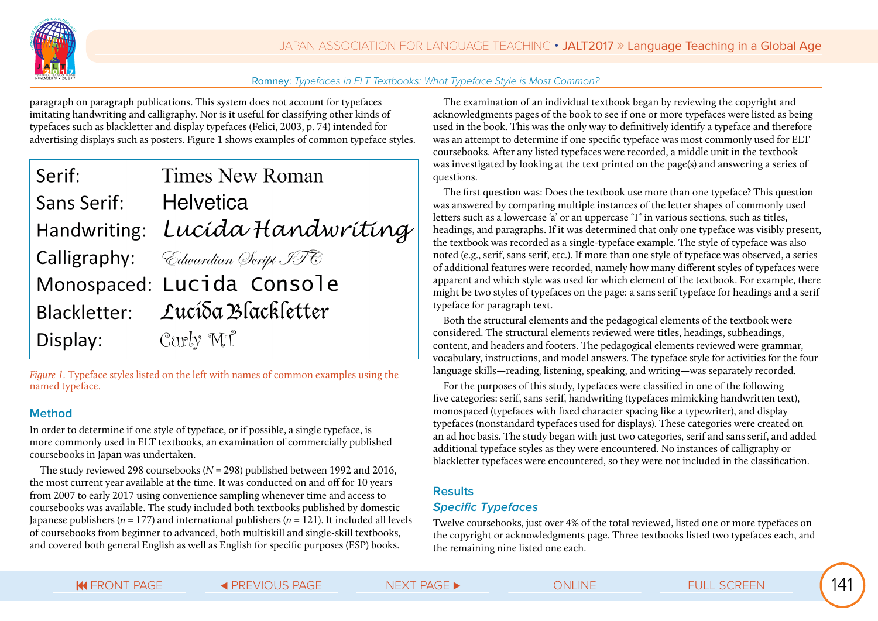

paragraph on paragraph publications. This system does not account for typefaces imitating handwriting and calligraphy. Nor is it useful for classifying other kinds of typefaces such as blackletter and display typefaces (Felici, 2003, p. 74) intended for advertising displays such as posters. Figure 1 shows examples of common typeface styles.

| Serif:                | Times New Roman                                 |
|-----------------------|-------------------------------------------------|
| Sans Serif: Helvetica |                                                 |
|                       | Handwriting: Lucída Handwriting                 |
|                       | <b>Calligraphy:</b> <i>Cdwardian Seript ITC</i> |
|                       | Monospaced: Lucida Console                      |
|                       | Blackletter: Lucída Blackletter                 |
| Display:              | Curly MT                                        |

*Figure 1.* Typeface styles listed on the left with names of common examples using the named typeface.

#### **Method**

In order to determine if one style of typeface, or if possible, a single typeface, is more commonly used in ELT textbooks, an examination of commercially published coursebooks in Japan was undertaken.

The study reviewed 298 coursebooks (*N* = 298) published between 1992 and 2016, the most current year available at the time. It was conducted on and off for 10 years from 2007 to early 2017 using convenience sampling whenever time and access to coursebooks was available. The study included both textbooks published by domestic Japanese publishers ( $n = 177$ ) and international publishers ( $n = 121$ ). It included all levels of coursebooks from beginner to advanced, both multiskill and single-skill textbooks, and covered both general English as well as English for specific purposes (ESP) books.

The examination of an individual textbook began by reviewing the copyright and acknowledgments pages of the book to see if one or more typefaces were listed as being used in the book. This was the only way to definitively identify a typeface and therefore was an attempt to determine if one specific typeface was most commonly used for ELT coursebooks. After any listed typefaces were recorded, a middle unit in the textbook was investigated by looking at the text printed on the page(s) and answering a series of questions.

The first question was: Does the textbook use more than one typeface? This question was answered by comparing multiple instances of the letter shapes of commonly used letters such as a lowercase 'a' or an uppercase 'T' in various sections, such as titles, headings, and paragraphs. If it was determined that only one typeface was visibly present, the textbook was recorded as a single-typeface example. The style of typeface was also noted (e.g., serif, sans serif, etc.). If more than one style of typeface was observed, a series of additional features were recorded, namely how many different styles of typefaces were apparent and which style was used for which element of the textbook. For example, there might be two styles of typefaces on the page: a sans serif typeface for headings and a serif typeface for paragraph text.

Both the structural elements and the pedagogical elements of the textbook were considered. The structural elements reviewed were titles, headings, subheadings, content, and headers and footers. The pedagogical elements reviewed were grammar, vocabulary, instructions, and model answers. The typeface style for activities for the four language skills—reading, listening, speaking, and writing—was separately recorded.

For the purposes of this study, typefaces were classified in one of the following five categories: serif, sans serif, handwriting (typefaces mimicking handwritten text), monospaced (typefaces with fixed character spacing like a typewriter), and display typefaces (nonstandard typefaces used for displays). These categories were created on an ad hoc basis. The study began with just two categories, serif and sans serif, and added additional typeface styles as they were encountered. No instances of calligraphy or blackletter typefaces were encountered, so they were not included in the classification.

#### **Results**

#### **Specific Typefaces**

Twelve coursebooks, just over 4% of the total reviewed, listed one or more typefaces on the copyright or acknowledgments page. Three textbooks listed two typefaces each, and the remaining nine listed one each.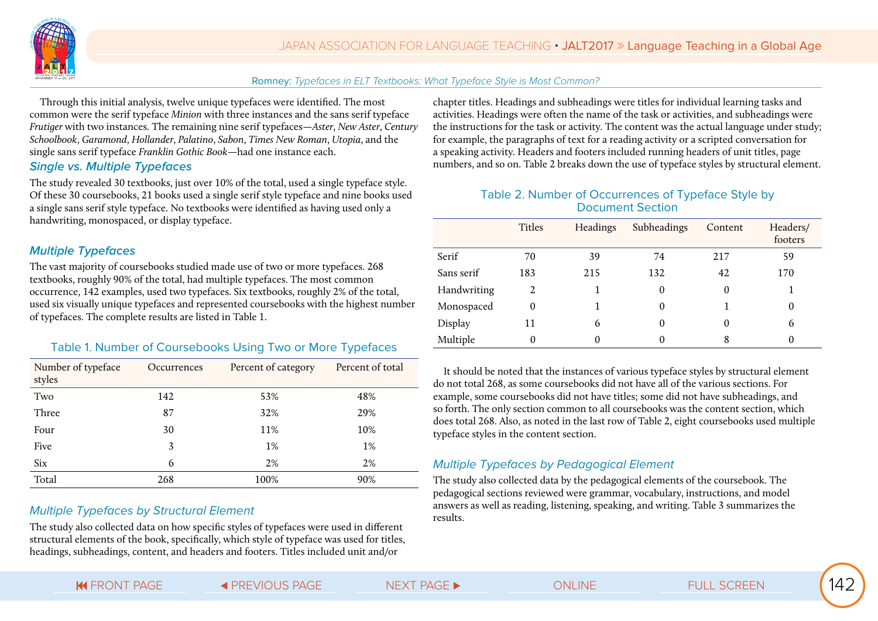

Through this initial analysis, twelve unique typefaces were identified. The most common were the serif typeface *Minion* with three instances and the sans serif typeface *Frutiger* with two instances. The remaining nine serif typefaces—*Aster*, *New Aster*, *Century Schoolbook*, *Garamond*, *Hollander*, *Palatino*, *Sabon*, *Times New Roman*, *Utopia*, and the single sans serif typeface *Franklin Gothic Book*—had one instance each.

#### **Single vs. Multiple Typefaces**

The study revealed 30 textbooks, just over 10% of the total, used a single typeface style. Of these 30 coursebooks, 21 books used a single serif style typeface and nine books used a single sans serif style typeface. No textbooks were identified as having used only a handwriting, monospaced, or display typeface.

#### **Multiple Typefaces**

The vast majority of coursebooks studied made use of two or more typefaces. 268 textbooks, roughly 90% of the total, had multiple typefaces. The most common occurrence, 142 examples, used two typefaces. Six textbooks, roughly 2% of the total, used six visually unique typefaces and represented coursebooks with the highest number of typefaces. The complete results are listed in Table 1.

#### Table 1. Number of Coursebooks Using Two or More Typefaces

| Number of typeface<br>styles | Occurrences | Percent of category | Percent of total |
|------------------------------|-------------|---------------------|------------------|
| Two                          | 142         | 53%                 | 48%              |
| Three                        | 87          | 32%                 | 29%              |
| Four                         | 30          | 11%                 | 10%              |
| Five                         | 3           | 1%                  | $1\%$            |
| <b>Six</b>                   | 6           | 2%                  | 2%               |
| Total                        | 268         | 100%                | 90%              |

#### Multiple Typefaces by Structural Element

The study also collected data on how specific styles of typefaces were used in different structural elements of the book, specifically, which style of typeface was used for titles, headings, subheadings, content, and headers and footers. Titles included unit and/or

chapter titles. Headings and subheadings were titles for individual learning tasks and activities. Headings were often the name of the task or activities, and subheadings were the instructions for the task or activity. The content was the actual language under study; for example, the paragraphs of text for a reading activity or a scripted conversation for a speaking activity. Headers and footers included running headers of unit titles, page numbers, and so on. Table 2 breaks down the use of typeface styles by structural element.

#### Table 2. Number of Occurrences of Typeface Style by Document Section

|             | Titles   | Headings | Subheadings | Content  | Headers/<br>footers |
|-------------|----------|----------|-------------|----------|---------------------|
| Serif       | 70       | 39       | 74          | 217      | 59                  |
| Sans serif  | 183      | 215      | 132         | 42       | 170                 |
| Handwriting | 2        |          | $\theta$    | $\theta$ |                     |
| Monospaced  | $\theta$ |          | $\theta$    |          | 0                   |
| Display     | 11       | 6        | $\theta$    | 0        | 6                   |
| Multiple    |          |          |             | 8        |                     |

It should be noted that the instances of various typeface styles by structural element do not total 268, as some coursebooks did not have all of the various sections. For example, some coursebooks did not have titles; some did not have subheadings, and so forth. The only section common to all coursebooks was the content section, which does total 268. Also, as noted in the last row of Table 2, eight coursebooks used multiple typeface styles in the content section.

#### Multiple Typefaces by Pedagogical Element

The study also collected data by the pedagogical elements of the coursebook. The pedagogical sections reviewed were grammar, vocabulary, instructions, and model answers as well as reading, listening, speaking, and writing. Table 3 summarizes the results.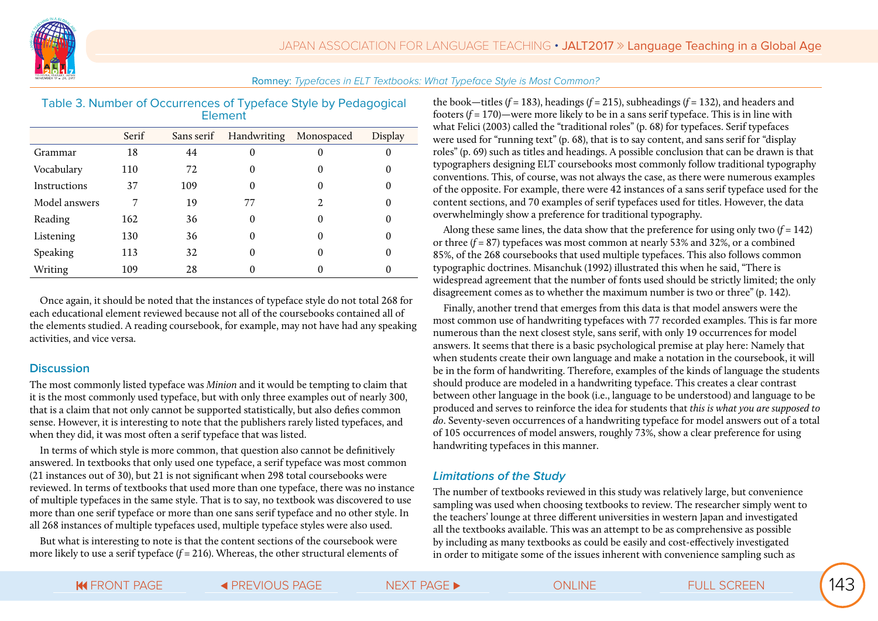

| Table 3. Number of Occurrences of Typeface Style by Pedagogical |  |
|-----------------------------------------------------------------|--|
| Element                                                         |  |

|               | Serif | Sans serif | Handwriting Monospaced |                             | Display  |
|---------------|-------|------------|------------------------|-----------------------------|----------|
| Grammar       | 18    | 44         | 0                      | $\Omega$                    | 0        |
| Vocabulary    | 110   | 72         | 0                      | 0                           | 0        |
| Instructions  | 37    | 109        | 0                      | 0                           | 0        |
| Model answers | 7     | 19         | 77                     | $\mathcal{D}_{\mathcal{L}}$ | 0        |
| Reading       | 162   | 36         | $\theta$               | 0                           | 0        |
| Listening     | 130   | 36         | 0                      | 0                           | 0        |
| Speaking      | 113   | 32         | 0                      | 0                           | $\Omega$ |
| Writing       | 109   | 28         |                        |                             | 0        |

Once again, it should be noted that the instances of typeface style do not total 268 for each educational element reviewed because not all of the coursebooks contained all of the elements studied. A reading coursebook, for example, may not have had any speaking activities, and vice versa.

#### **Discussion**

The most commonly listed typeface was *Minion* and it would be tempting to claim that it is the most commonly used typeface, but with only three examples out of nearly 300, that is a claim that not only cannot be supported statistically, but also defies common sense. However, it is interesting to note that the publishers rarely listed typefaces, and when they did, it was most often a serif typeface that was listed.

In terms of which style is more common, that question also cannot be definitively answered. In textbooks that only used one typeface, a serif typeface was most common (21 instances out of 30), but 21 is not significant when 298 total coursebooks were reviewed. In terms of textbooks that used more than one typeface, there was no instance of multiple typefaces in the same style. That is to say, no textbook was discovered to use more than one serif typeface or more than one sans serif typeface and no other style. In all 268 instances of multiple typefaces used, multiple typeface styles were also used.

But what is interesting to note is that the content sections of the coursebook were more likely to use a serif typeface (*f* = 216). Whereas, the other structural elements of the book—titles ( $f = 183$ ), headings ( $f = 215$ ), subheadings ( $f = 132$ ), and headers and footers (*f* = 170)—were more likely to be in a sans serif typeface. This is in line with what Felici (2003) called the "traditional roles" (p. 68) for typefaces. Serif typefaces were used for "running text" (p. 68), that is to say content, and sans serif for "display roles" (p. 69) such as titles and headings. A possible conclusion that can be drawn is that typographers designing ELT coursebooks most commonly follow traditional typography conventions. This, of course, was not always the case, as there were numerous examples of the opposite. For example, there were 42 instances of a sans serif typeface used for the content sections, and 70 examples of serif typefaces used for titles. However, the data overwhelmingly show a preference for traditional typography.

Along these same lines, the data show that the preference for using only two  $(f = 142)$ or three (*f* = 87) typefaces was most common at nearly 53% and 32%, or a combined 85%, of the 268 coursebooks that used multiple typefaces. This also follows common typographic doctrines. Misanchuk (1992) illustrated this when he said, "There is widespread agreement that the number of fonts used should be strictly limited; the only disagreement comes as to whether the maximum number is two or three" (p. 142).

Finally, another trend that emerges from this data is that model answers were the most common use of handwriting typefaces with 77 recorded examples. This is far more numerous than the next closest style, sans serif, with only 19 occurrences for model answers. It seems that there is a basic psychological premise at play here: Namely that when students create their own language and make a notation in the coursebook, it will be in the form of handwriting. Therefore, examples of the kinds of language the students should produce are modeled in a handwriting typeface. This creates a clear contrast between other language in the book (i.e., language to be understood) and language to be produced and serves to reinforce the idea for students that *this is what you are supposed to do*. Seventy-seven occurrences of a handwriting typeface for model answers out of a total of 105 occurrences of model answers, roughly 73%, show a clear preference for using handwriting typefaces in this manner.

#### **Limitations of the Study**

The number of textbooks reviewed in this study was relatively large, but convenience sampling was used when choosing textbooks to review. The researcher simply went to the teachers' lounge at three different universities in western Japan and investigated all the textbooks available. This was an attempt to be as comprehensive as possible by including as many textbooks as could be easily and cost-effectively investigated in order to mitigate some of the issues inherent with convenience sampling such as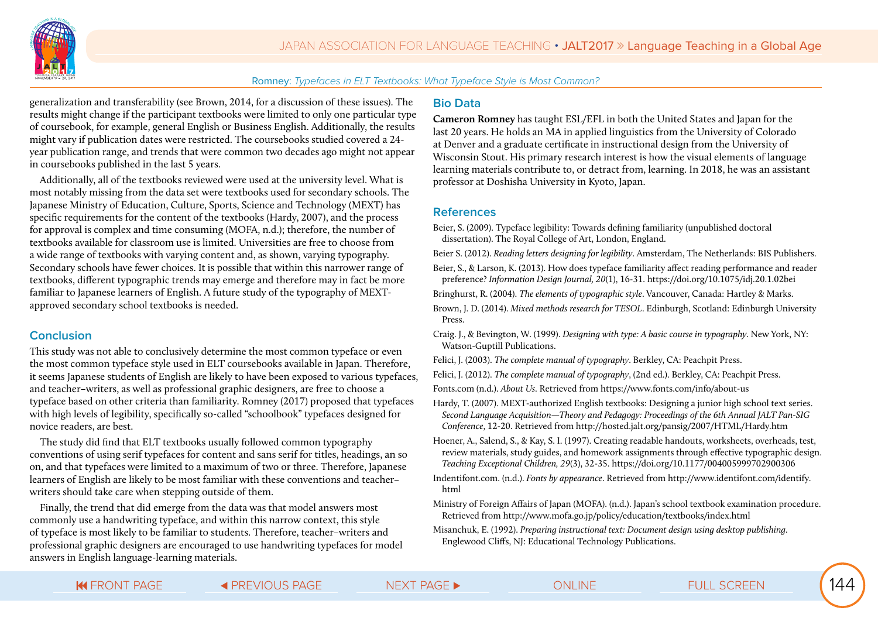

generalization and transferability (see Brown, 2014, for a discussion of these issues). The results might change if the participant textbooks were limited to only one particular type of coursebook, for example, general English or Business English. Additionally, the results might vary if publication dates were restricted. The coursebooks studied covered a 24 year publication range, and trends that were common two decades ago might not appear in coursebooks published in the last 5 years.

Additionally, all of the textbooks reviewed were used at the university level. What is most notably missing from the data set were textbooks used for secondary schools. The Japanese Ministry of Education, Culture, Sports, Science and Technology (MEXT) has specific requirements for the content of the textbooks (Hardy, 2007), and the process for approval is complex and time consuming (MOFA, n.d.); therefore, the number of textbooks available for classroom use is limited. Universities are free to choose from a wide range of textbooks with varying content and, as shown, varying typography. Secondary schools have fewer choices. It is possible that within this narrower range of textbooks, different typographic trends may emerge and therefore may in fact be more familiar to Japanese learners of English. A future study of the typography of MEXTapproved secondary school textbooks is needed.

#### **Conclusion**

This study was not able to conclusively determine the most common typeface or even the most common typeface style used in ELT coursebooks available in Japan. Therefore, it seems Japanese students of English are likely to have been exposed to various typefaces, and teacher–writers, as well as professional graphic designers, are free to choose a typeface based on other criteria than familiarity. Romney (2017) proposed that typefaces with high levels of legibility, specifically so-called "schoolbook" typefaces designed for novice readers, are best.

The study did find that ELT textbooks usually followed common typography conventions of using serif typefaces for content and sans serif for titles, headings, an so on, and that typefaces were limited to a maximum of two or three. Therefore, Japanese learners of English are likely to be most familiar with these conventions and teacher– writers should take care when stepping outside of them.

Finally, the trend that did emerge from the data was that model answers most commonly use a handwriting typeface, and within this narrow context, this style of typeface is most likely to be familiar to students. Therefore, teacher–writers and professional graphic designers are encouraged to use handwriting typefaces for model answers in English language-learning materials.

#### **Bio Data**

**Cameron Romney** has taught ESL/EFL in both the United States and Japan for the last 20 years. He holds an MA in applied linguistics from the University of Colorado at Denver and a graduate certificate in instructional design from the University of Wisconsin Stout. His primary research interest is how the visual elements of language learning materials contribute to, or detract from, learning. In 2018, he was an assistant professor at Doshisha University in Kyoto, Japan.

#### **References**

Beier, S. (2009). Typeface legibility: Towards defining familiarity (unpublished doctoral dissertation). The Royal College of Art, London, England.

Beier S. (2012). *Reading letters designing for legibility*. Amsterdam, The Netherlands: BIS Publishers.

Beier, S., & Larson, K. (2013). How does typeface familiarity affect reading performance and reader preference? *Information Design Journal, 20*(1), 16-31. https://doi.org/10.1075/idj.20.1.02bei

Bringhurst, R. (2004). *The elements of typographic style*. Vancouver, Canada: Hartley & Marks.

Brown, J. D. (2014). *Mixed methods research for TESOL*. Edinburgh, Scotland: Edinburgh University Press.

Craig. J., & Bevington, W. (1999). *Designing with type: A basic course in typography*. New York, NY: Watson-Guptill Publications.

- Felici, J. (2003). *The complete manual of typography*. Berkley, CA: Peachpit Press.
- Felici, J. (2012). *The complete manual of typography*, (2nd ed.). Berkley, CA: Peachpit Press.
- Fonts.com (n.d.). *About Us*. Retrieved from https://www.fonts.com/info/about-us
- Hardy, T. (2007). MEXT-authorized English textbooks: Designing a junior high school text series. *Second Language Acquisition—Theory and Pedagogy: Proceedings of the 6th Annual JALT Pan-SIG Conference*, 12-20. Retrieved from http://hosted.jalt.org/pansig/2007/HTML/Hardy.htm
- Hoener, A., Salend, S., & Kay, S. I. (1997). Creating readable handouts, worksheets, overheads, test, review materials, study guides, and homework assignments through effective typographic design. *Teaching Exceptional Children, 29*(3), 32-35. https://doi.org/10.1177/004005999702900306
- Indentifont.com. (n.d.). *Fonts by appearance*. Retrieved from http://www.identifont.com/identify. html
- Ministry of Foreign Affairs of Japan (MOFA). (n.d.). Japan's school textbook examination procedure. Retrieved from http://www.mofa.go.jp/policy/education/textbooks/index.html
- Misanchuk, E. (1992). *Preparing instructional text: Document design using desktop publishing*. Englewood Cliffs, NJ: Educational Technology Publications.